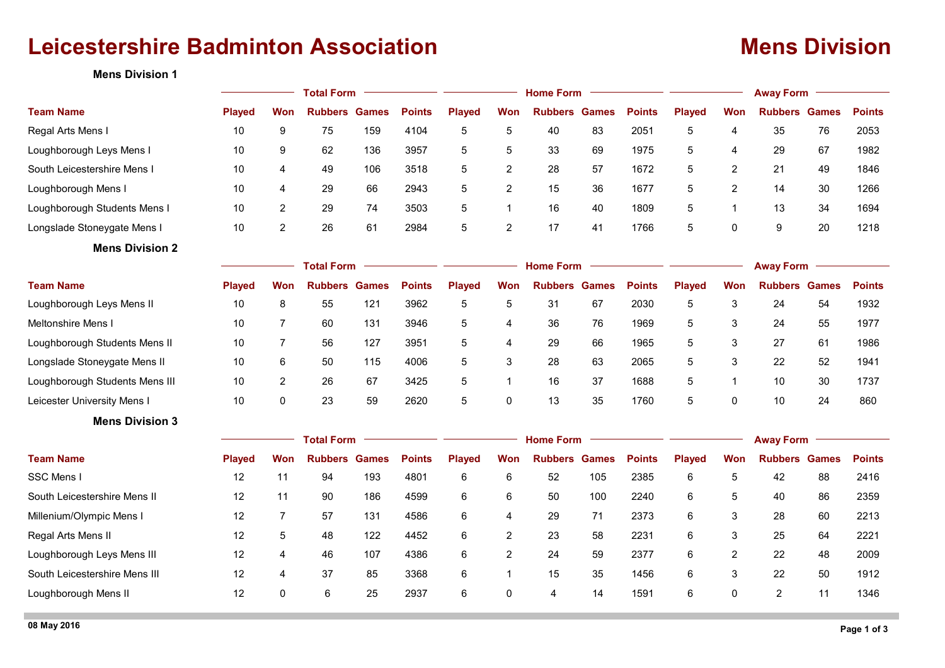# **Leicestershire Badminton Association Mens Division**

**Mens Division 1**

|                                | <b>Total Form</b> |                   |                      |              |               |               | <b>Home Form</b> |                |              | <b>Away Form</b> |               |                |                      |    |               |  |  |  |
|--------------------------------|-------------------|-------------------|----------------------|--------------|---------------|---------------|------------------|----------------|--------------|------------------|---------------|----------------|----------------------|----|---------------|--|--|--|
| <b>Team Name</b>               | <b>Played</b>     | Won               | <b>Rubbers Games</b> |              | <b>Points</b> | <b>Played</b> | <b>Won</b>       | <b>Rubbers</b> | <b>Games</b> | <b>Points</b>    | <b>Played</b> | <b>Won</b>     | <b>Rubbers Games</b> |    | <b>Points</b> |  |  |  |
| Regal Arts Mens I              | 10                | 9                 | 75                   | 159          | 4104          | 5             | 5                | 40             | 83           | 2051             | 5             | 4              | 35                   | 76 | 2053          |  |  |  |
| Loughborough Leys Mens I       | 10                | 9                 | 62                   | 136          | 3957          | 5             | 5                | 33             | 69           | 1975             | 5             | 4              | 29                   | 67 | 1982          |  |  |  |
| South Leicestershire Mens I    | 10                | 4                 | 49                   | 106          | 3518          | 5             | $\overline{2}$   | 28             | 57           | 1672             | 5             | $\overline{2}$ | 21                   | 49 | 1846          |  |  |  |
| Loughborough Mens I            | 10                | 4                 | 29                   | 66           | 2943          | 5             | 2                | 15             | 36           | 1677             | 5             | $\overline{2}$ | 14                   | 30 | 1266          |  |  |  |
| Loughborough Students Mens I   | 10                | $\overline{2}$    | 29                   | 74           | 3503          | 5             | $\mathbf{1}$     | 16             | 40           | 1809             | 5             | $\mathbf{1}$   | 13                   | 34 | 1694          |  |  |  |
| Longslade Stoneygate Mens I    | 10                | $\overline{c}$    | 26                   | 61           | 2984          | 5             | $\overline{2}$   | 17             | 41           | 1766             | 5             | 0              | 9                    | 20 | 1218          |  |  |  |
| <b>Mens Division 2</b>         |                   |                   |                      |              |               |               |                  |                |              |                  |               |                |                      |    |               |  |  |  |
|                                | <b>Total Form</b> |                   |                      |              |               |               | <b>Home Form</b> |                |              | <b>Away Form</b> |               |                |                      |    |               |  |  |  |
| <b>Team Name</b>               | <b>Played</b>     | Won               | <b>Rubbers</b>       | <b>Games</b> | <b>Points</b> | <b>Played</b> | Won              | <b>Rubbers</b> | <b>Games</b> | <b>Points</b>    | <b>Played</b> | Won            | <b>Rubbers Games</b> |    | <b>Points</b> |  |  |  |
| Loughborough Leys Mens II      | 10                | 8                 | 55                   | 121          | 3962          | 5             | 5                | 31             | 67           | 2030             | 5             | 3              | 24                   | 54 | 1932          |  |  |  |
| Meltonshire Mens I             | 10                | $\overline{7}$    | 60                   | 131          | 3946          | 5             | 4                | 36             | 76           | 1969             | 5             | 3              | 24                   | 55 | 1977          |  |  |  |
| Loughborough Students Mens II  | 10                | $\overline{7}$    | 56                   | 127          | 3951          | 5             | 4                | 29             | 66           | 1965             | 5             | 3              | 27                   | 61 | 1986          |  |  |  |
| Longslade Stoneygate Mens II   | 10                | 6                 | 50                   | 115          | 4006          | 5             | 3                | 28             | 63           | 2065             | 5             | 3              | 22                   | 52 | 1941          |  |  |  |
| Loughborough Students Mens III | 10                | $\overline{c}$    | 26                   | 67           | 3425          | 5             | $\mathbf{1}$     | 16             | 37           | 1688             | 5             | $\mathbf{1}$   | 10                   | 30 | 1737          |  |  |  |
| Leicester University Mens I    | 10                | $\Omega$          | 23                   | 59           | 2620          | 5             | 0                | 13             | 35           | 1760             | 5             | $\mathbf{0}$   | 10                   | 24 | 860           |  |  |  |
| <b>Mens Division 3</b>         |                   |                   |                      |              |               |               |                  |                |              |                  |               |                |                      |    |               |  |  |  |
|                                |                   | <b>Total Form</b> |                      |              |               |               | <b>Home Form</b> |                |              |                  |               |                | <b>Away Form</b>     |    |               |  |  |  |
| <b>Team Name</b>               | <b>Played</b>     | Won               | <b>Rubbers Games</b> |              | <b>Points</b> | <b>Played</b> | Won              | <b>Rubbers</b> | <b>Games</b> | <b>Points</b>    | <b>Played</b> | <b>Won</b>     | <b>Rubbers Games</b> |    | <b>Points</b> |  |  |  |
| <b>SSC Mens I</b>              | 12                | 11                | 94                   | 193          | 4801          | 6             | 6                | 52             | 105          | 2385             | 6             | 5              | 42                   | 88 | 2416          |  |  |  |
| South Leicestershire Mens II   | 12                | 11                | 90                   | 186          | 4599          | 6             | 6                | 50             | 100          | 2240             | 6             | 5              | 40                   | 86 | 2359          |  |  |  |
| Millenium/Olympic Mens I       | 12                | $\overline{7}$    | 57                   | 131          | 4586          | 6             | 4                | 29             | 71           | 2373             | 6             | 3              | 28                   | 60 | 2213          |  |  |  |
| Regal Arts Mens II             | 12                | 5                 | 48                   | 122          | 4452          | 6             | $\overline{2}$   | 23             | 58           | 2231             | 6             | 3              | 25                   | 64 | 2221          |  |  |  |
| Loughborough Leys Mens III     | 12                | 4                 | 46                   | 107          | 4386          | 6             | $\overline{2}$   | 24             | 59           | 2377             | 6             | 2              | 22                   | 48 | 2009          |  |  |  |
| South Leicestershire Mens III  | 12                | 4                 | 37                   | 85           | 3368          | 6             | $\mathbf{1}$     | 15             | 35           | 1456             | 6             | 3              | 22                   | 50 | 1912          |  |  |  |
| Loughborough Mens II           | 12                | 0                 | 6                    | 25           | 2937          | 6             | 0                | 4              | 14           | 1591             | 6             | $\mathbf 0$    | $\overline{2}$       | 11 | 1346          |  |  |  |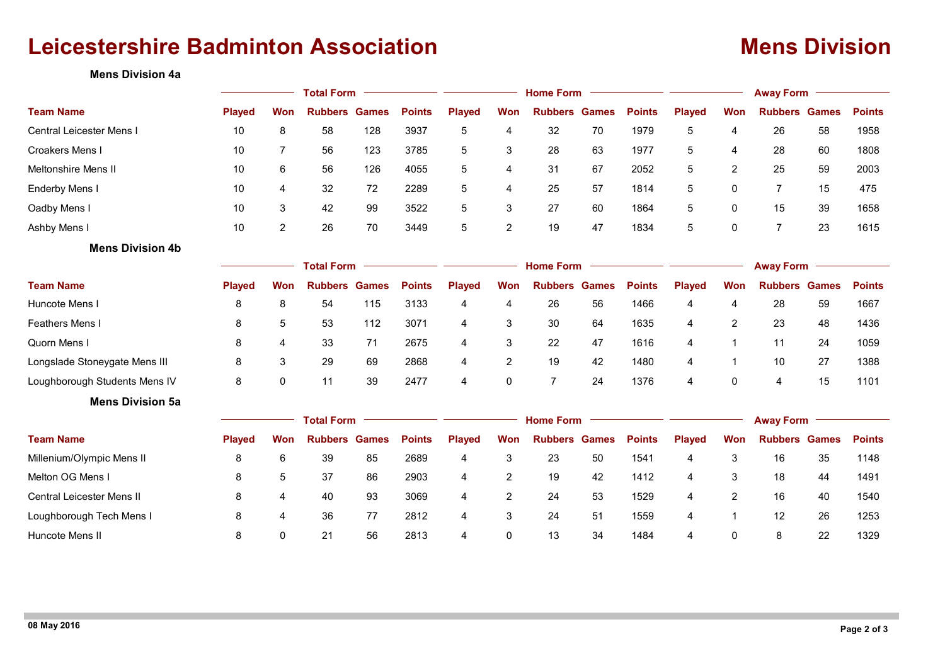# **Leicestershire Badminton Association Mens Division**

## **Mens Division 4a**

|                                  |                   | <b>Home Form</b> |                      |              |               |                  | <b>Away Form</b> |                |              |               |                  |              |                      |    |               |  |
|----------------------------------|-------------------|------------------|----------------------|--------------|---------------|------------------|------------------|----------------|--------------|---------------|------------------|--------------|----------------------|----|---------------|--|
| <b>Team Name</b>                 | <b>Played</b>     | Won              | <b>Rubbers</b>       | <b>Games</b> | <b>Points</b> | <b>Played</b>    | Won              | <b>Rubbers</b> | <b>Games</b> | <b>Points</b> | <b>Played</b>    | Won          | <b>Rubbers Games</b> |    | <b>Points</b> |  |
| Central Leicester Mens I         | 10                | 8                | 58                   | 128          | 3937          | 5                | 4                | 32             | 70           | 1979          | 5                | 4            | 26                   | 58 | 1958          |  |
| Croakers Mens I                  | 10                | $\overline{7}$   | 56                   | 123          | 3785          | 5                | 3                | 28             | 63           | 1977          | 5                | 4            | 28                   | 60 | 1808          |  |
| <b>Meltonshire Mens II</b>       | 10                | 6                | 56                   | 126          | 4055          | 5                | 4                | 31             | 67           | 2052          | 5                | 2            | 25                   | 59 | 2003          |  |
| <b>Enderby Mens I</b>            | 10                | 4                | 32                   | 72           | 2289          | 5                | 4                | 25             | 57           | 1814          | 5                | 0            | $\overline{7}$       | 15 | 475           |  |
| Oadby Mens I                     | 10                | $\mathsf 3$      | 42                   | 99           | 3522          | 5                | 3                | 27             | 60           | 1864          | 5                | 0            | 15                   | 39 | 1658          |  |
| Ashby Mens I                     | 10                | $\overline{c}$   | 26                   | 70           | 3449          | 5                | $\overline{2}$   | 19             | 47           | 1834          | 5                | 0            | $\overline{7}$       | 23 | 1615          |  |
| <b>Mens Division 4b</b>          |                   |                  |                      |              |               |                  |                  |                |              |               |                  |              |                      |    |               |  |
|                                  | <b>Total Form</b> |                  |                      |              |               | <b>Home Form</b> |                  |                |              |               | <b>Away Form</b> |              |                      |    |               |  |
| <b>Team Name</b>                 | <b>Played</b>     | Won              | <b>Rubbers</b>       | <b>Games</b> | <b>Points</b> | <b>Played</b>    | <b>Won</b>       | <b>Rubbers</b> | <b>Games</b> | <b>Points</b> | <b>Played</b>    | Won          | <b>Rubbers Games</b> |    | <b>Points</b> |  |
| Huncote Mens I                   | 8                 | 8                | 54                   | 115          | 3133          | 4                | 4                | 26             | 56           | 1466          | 4                | 4            | 28                   | 59 | 1667          |  |
| <b>Feathers Mens I</b>           | 8                 | 5                | 53                   | 112          | 3071          | 4                | 3                | 30             | 64           | 1635          | 4                | 2            | 23                   | 48 | 1436          |  |
| Quorn Mens I                     | 8                 | 4                | 33                   | 71           | 2675          | 4                | 3                | 22             | 47           | 1616          | 4                | $\mathbf 1$  | 11                   | 24 | 1059          |  |
| Longslade Stoneygate Mens III    | 8                 | 3                | 29                   | 69           | 2868          | 4                | 2                | 19             | 42           | 1480          | 4                | $\mathbf{1}$ | 10                   | 27 | 1388          |  |
| Loughborough Students Mens IV    | 8                 | $\pmb{0}$        | 11                   | 39           | 2477          | 4                | 0                | $\overline{7}$ | 24           | 1376          | 4                | 0            | $\overline{4}$       | 15 | 1101          |  |
| <b>Mens Division 5a</b>          |                   |                  |                      |              |               |                  |                  |                |              |               |                  |              |                      |    |               |  |
|                                  | <b>Total Form</b> |                  |                      |              |               | <b>Home Form</b> |                  |                |              |               | <b>Away Form</b> |              |                      |    |               |  |
| <b>Team Name</b>                 | <b>Played</b>     | Won              | <b>Rubbers Games</b> |              | <b>Points</b> | <b>Played</b>    | <b>Won</b>       | <b>Rubbers</b> | <b>Games</b> | <b>Points</b> | <b>Played</b>    | <b>Won</b>   | <b>Rubbers Games</b> |    | <b>Points</b> |  |
| Millenium/Olympic Mens II        | 8                 | 6                | 39                   | 85           | 2689          | 4                | 3                | 23             | 50           | 1541          | 4                | 3            | 16                   | 35 | 1148          |  |
| Melton OG Mens I                 | 8                 | 5                | 37                   | 86           | 2903          | 4                | 2                | 19             | 42           | 1412          | 4                | 3            | 18                   | 44 | 1491          |  |
| <b>Central Leicester Mens II</b> | 8                 | 4                | 40                   | 93           | 3069          | 4                | 2                | 24             | 53           | 1529          | 4                | 2            | 16                   | 40 | 1540          |  |
| Loughborough Tech Mens I         | 8                 | 4                | 36                   | 77           | 2812          | 4                | 3                | 24             | 51           | 1559          | 4                | $\mathbf{1}$ | 12                   | 26 | 1253          |  |
| Huncote Mens II                  | 8                 | $\Omega$         | 21                   | 56           | 2813          | 4                | $\Omega$         | 13             | 34           | 1484          | 4                | $\Omega$     | 8                    | 22 | 1329          |  |